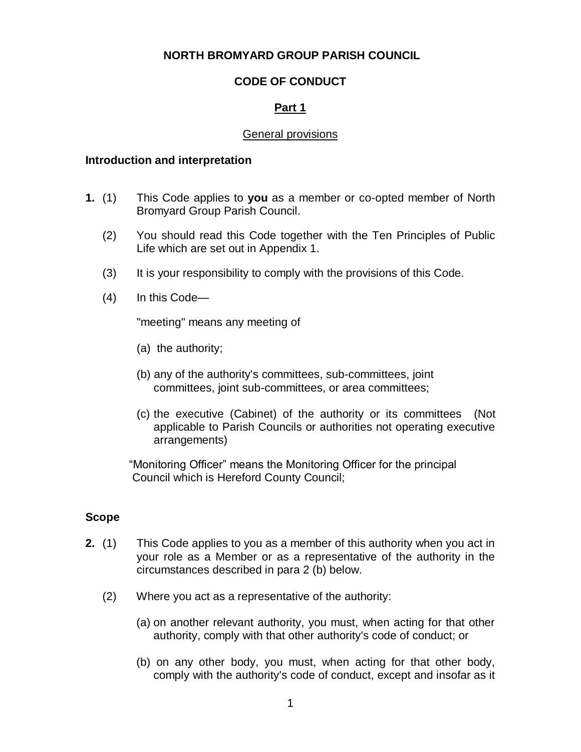# **NORTH BROMYARD GROUP PARISH COUNCIL**

# **CODE OF CONDUCT**

# **Part 1**

### General provisions

#### **Introduction and interpretation**

- **1.** (1) This Code applies to **you** as a member or co-opted member of North Bromyard Group Parish Council.
	- (2) You should read this Code together with the Ten Principles of Public Life which are set out in Appendix 1.
	- (3) It is your responsibility to comply with the provisions of this Code.
	- (4) In this Code—

"meeting" means any meeting of

- (a) the authority;
- (b) any of the authority's committees, sub-committees, joint committees, joint sub-committees, or area committees;
- (c) the executive (Cabinet) of the authority or its committees (Not applicable to Parish Councils or authorities not operating executive arrangements)

 "Monitoring Officer" means the Monitoring Officer for the principal Council which is Hereford County Council;

### **Scope**

- **2.** (1) This Code applies to you as a member of this authority when you act in your role as a Member or as a representative of the authority in the circumstances described in para 2 (b) below.
	- (2) Where you act as a representative of the authority:
		- (a) on another relevant authority, you must, when acting for that other authority, comply with that other authority's code of conduct; or
		- (b) on any other body, you must, when acting for that other body, comply with the authority's code of conduct, except and insofar as it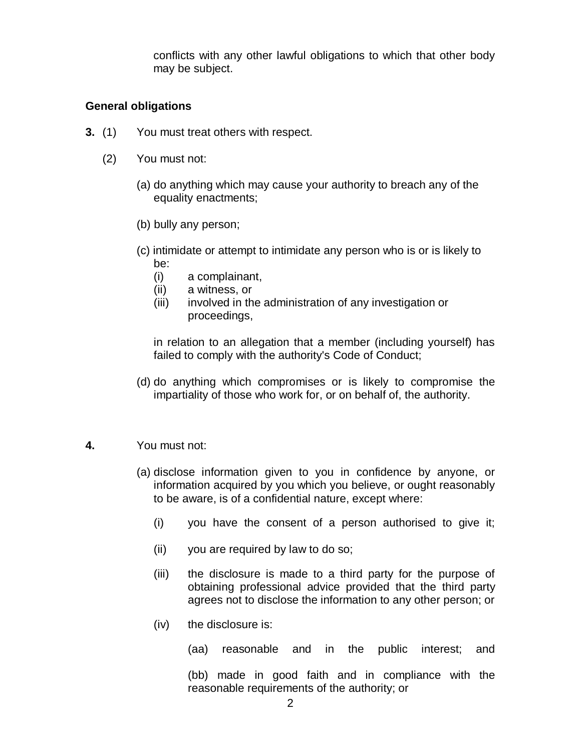conflicts with any other lawful obligations to which that other body may be subject.

### **General obligations**

- **3.** (1) You must treat others with respect.
	- (2) You must not:
		- (a) do anything which may cause your authority to breach any of the equality enactments;
		- (b) bully any person;
		- (c) intimidate or attempt to intimidate any person who is or is likely to be:
			- (i) a complainant,
			- (ii) a witness, or
			- (iii) involved in the administration of any investigation or proceedings,

in relation to an allegation that a member (including yourself) has failed to comply with the authority's Code of Conduct;

(d) do anything which compromises or is likely to compromise the impartiality of those who work for, or on behalf of, the authority.

### **4.** You must not:

- (a) disclose information given to you in confidence by anyone, or information acquired by you which you believe, or ought reasonably to be aware, is of a confidential nature, except where:
	- (i) you have the consent of a person authorised to give it;
	- (ii) you are required by law to do so;
	- (iii) the disclosure is made to a third party for the purpose of obtaining professional advice provided that the third party agrees not to disclose the information to any other person; or
	- (iv) the disclosure is:

(aa) reasonable and in the public interest; and

(bb) made in good faith and in compliance with the reasonable requirements of the authority; or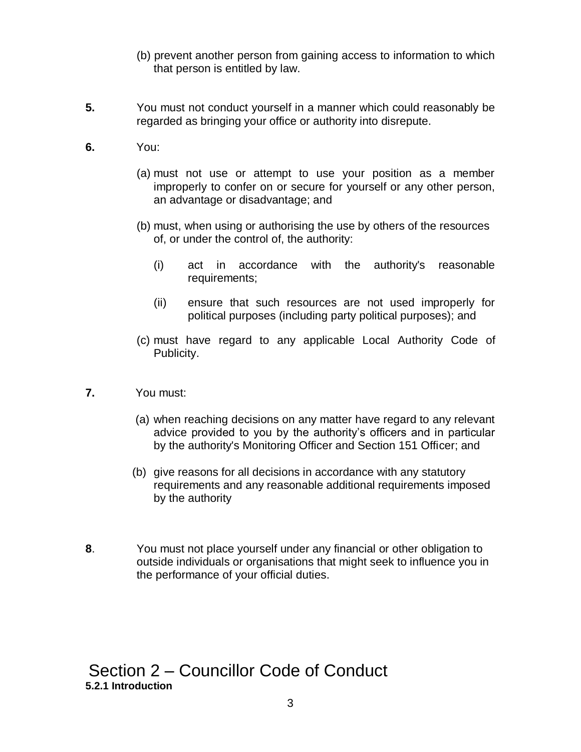- (b) prevent another person from gaining access to information to which that person is entitled by law.
- **5.** You must not conduct yourself in a manner which could reasonably be regarded as bringing your office or authority into disrepute.
- **6.** You:
	- (a) must not use or attempt to use your position as a member improperly to confer on or secure for yourself or any other person, an advantage or disadvantage; and
	- (b) must, when using or authorising the use by others of the resources of, or under the control of, the authority:
		- (i) act in accordance with the authority's reasonable requirements;
		- (ii) ensure that such resources are not used improperly for political purposes (including party political purposes); and
	- (c) must have regard to any applicable Local Authority Code of Publicity.
- **7.** You must:
	- (a) when reaching decisions on any matter have regard to any relevant advice provided to you by the authority's officers and in particular by the authority's Monitoring Officer and Section 151 Officer; and
	- (b) give reasons for all decisions in accordance with any statutory requirements and any reasonable additional requirements imposed by the authority
- **8**. You must not place yourself under any financial or other obligation to outside individuals or organisations that might seek to influence you in the performance of your official duties.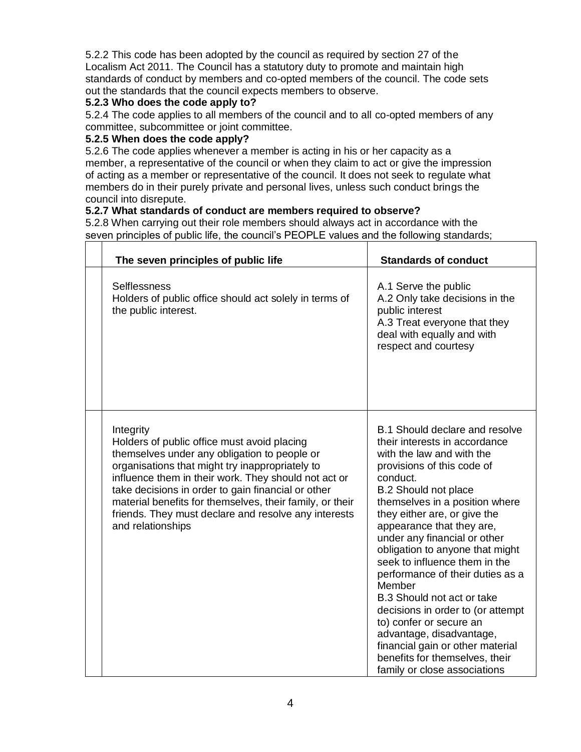5.2.2 This code has been adopted by the council as required by section 27 of the Localism Act 2011. The Council has a statutory duty to promote and maintain high standards of conduct by members and co-opted members of the council. The code sets out the standards that the council expects members to observe.

# **5.2.3 Who does the code apply to?**

5.2.4 The code applies to all members of the council and to all co-opted members of any committee, subcommittee or joint committee.

### **5.2.5 When does the code apply?**

5.2.6 The code applies whenever a member is acting in his or her capacity as a member, a representative of the council or when they claim to act or give the impression of acting as a member or representative of the council. It does not seek to regulate what members do in their purely private and personal lives, unless such conduct brings the council into disrepute.

# **5.2.7 What standards of conduct are members required to observe?**

5.2.8 When carrying out their role members should always act in accordance with the seven principles of public life, the council's PEOPLE values and the following standards;<br>  $\overline{a}$ 

| The seven principles of public life                                                                                                                                                                                                                                                                                                                                                                                | <b>Standards of conduct</b>                                                                                                                                                                                                                                                                                                                                                                                                                                                                                                                                                                                                                            |  |  |
|--------------------------------------------------------------------------------------------------------------------------------------------------------------------------------------------------------------------------------------------------------------------------------------------------------------------------------------------------------------------------------------------------------------------|--------------------------------------------------------------------------------------------------------------------------------------------------------------------------------------------------------------------------------------------------------------------------------------------------------------------------------------------------------------------------------------------------------------------------------------------------------------------------------------------------------------------------------------------------------------------------------------------------------------------------------------------------------|--|--|
| <b>Selflessness</b><br>Holders of public office should act solely in terms of<br>the public interest.                                                                                                                                                                                                                                                                                                              | A.1 Serve the public<br>A.2 Only take decisions in the<br>public interest<br>A.3 Treat everyone that they<br>deal with equally and with<br>respect and courtesy                                                                                                                                                                                                                                                                                                                                                                                                                                                                                        |  |  |
| Integrity<br>Holders of public office must avoid placing<br>themselves under any obligation to people or<br>organisations that might try inappropriately to<br>influence them in their work. They should not act or<br>take decisions in order to gain financial or other<br>material benefits for themselves, their family, or their<br>friends. They must declare and resolve any interests<br>and relationships | B.1 Should declare and resolve<br>their interests in accordance<br>with the law and with the<br>provisions of this code of<br>conduct.<br><b>B.2 Should not place</b><br>themselves in a position where<br>they either are, or give the<br>appearance that they are,<br>under any financial or other<br>obligation to anyone that might<br>seek to influence them in the<br>performance of their duties as a<br>Member<br>B.3 Should not act or take<br>decisions in order to (or attempt<br>to) confer or secure an<br>advantage, disadvantage,<br>financial gain or other material<br>benefits for themselves, their<br>family or close associations |  |  |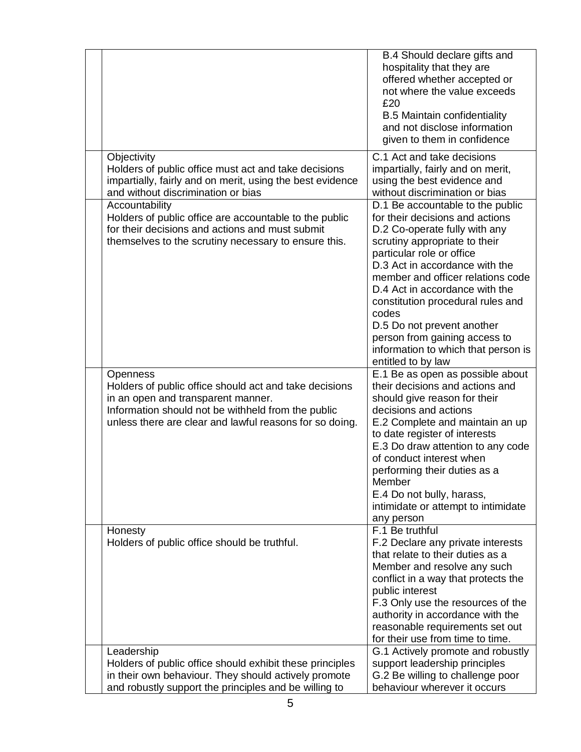|                                                                                                                                                                                                                           | B.4 Should declare gifts and<br>hospitality that they are<br>offered whether accepted or<br>not where the value exceeds<br>£20<br><b>B.5 Maintain confidentiality</b><br>and not disclose information<br>given to them in confidence                                                                                                                                                                                                                  |
|---------------------------------------------------------------------------------------------------------------------------------------------------------------------------------------------------------------------------|-------------------------------------------------------------------------------------------------------------------------------------------------------------------------------------------------------------------------------------------------------------------------------------------------------------------------------------------------------------------------------------------------------------------------------------------------------|
| Objectivity<br>Holders of public office must act and take decisions<br>impartially, fairly and on merit, using the best evidence<br>and without discrimination or bias                                                    | C.1 Act and take decisions<br>impartially, fairly and on merit,<br>using the best evidence and<br>without discrimination or bias                                                                                                                                                                                                                                                                                                                      |
| Accountability<br>Holders of public office are accountable to the public<br>for their decisions and actions and must submit<br>themselves to the scrutiny necessary to ensure this.                                       | D.1 Be accountable to the public<br>for their decisions and actions<br>D.2 Co-operate fully with any<br>scrutiny appropriate to their<br>particular role or office<br>D.3 Act in accordance with the<br>member and officer relations code<br>D.4 Act in accordance with the<br>constitution procedural rules and<br>codes<br>D.5 Do not prevent another<br>person from gaining access to<br>information to which that person is<br>entitled to by law |
| Openness<br>Holders of public office should act and take decisions<br>in an open and transparent manner.<br>Information should not be withheld from the public<br>unless there are clear and lawful reasons for so doing. | E.1 Be as open as possible about<br>their decisions and actions and<br>should give reason for their<br>decisions and actions<br>E.2 Complete and maintain an up<br>to date register of interests<br>E.3 Do draw attention to any code<br>of conduct interest when<br>performing their duties as a<br>Member<br>E.4 Do not bully, harass,<br>intimidate or attempt to intimidate<br>any person                                                         |
| Honesty<br>Holders of public office should be truthful.                                                                                                                                                                   | F.1 Be truthful<br>F.2 Declare any private interests<br>that relate to their duties as a<br>Member and resolve any such<br>conflict in a way that protects the<br>public interest<br>F.3 Only use the resources of the<br>authority in accordance with the<br>reasonable requirements set out<br>for their use from time to time.                                                                                                                     |
| Leadership<br>Holders of public office should exhibit these principles<br>in their own behaviour. They should actively promote<br>and robustly support the principles and be willing to                                   | G.1 Actively promote and robustly<br>support leadership principles<br>G.2 Be willing to challenge poor<br>behaviour wherever it occurs                                                                                                                                                                                                                                                                                                                |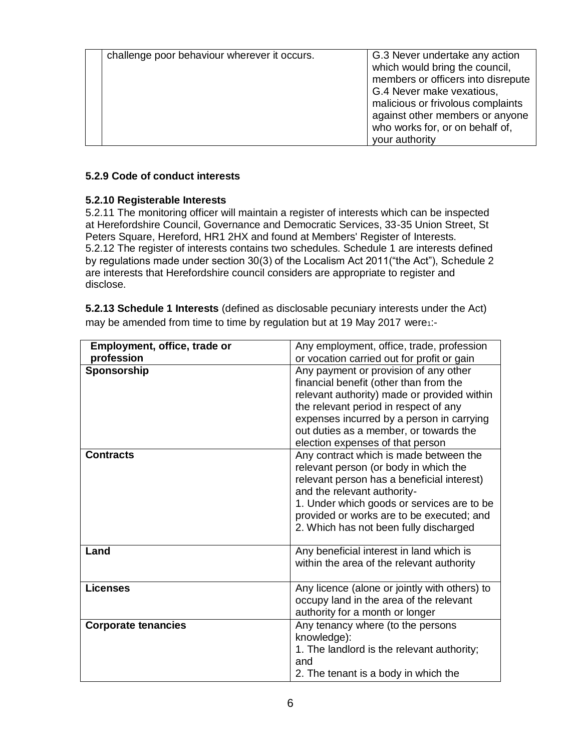| challenge poor behaviour wherever it occurs. | G.3 Never undertake any action<br>which would bring the council,<br>members or officers into disrepute<br>G.4 Never make vexatious,<br>malicious or frivolous complaints<br>against other members or anyone<br>who works for, or on behalf of,<br>your authority |
|----------------------------------------------|------------------------------------------------------------------------------------------------------------------------------------------------------------------------------------------------------------------------------------------------------------------|

### **5.2.9 Code of conduct interests**

### **5.2.10 Registerable Interests**

5.2.11 The monitoring officer will maintain a register of interests which can be inspected at Herefordshire Council, Governance and Democratic Services, 33-35 Union Street, St Peters Square, Hereford, HR1 2HX and found at Members' Register of Interests. 5.2.12 The register of interests contains two schedules. Schedule 1 are interests defined by regulations made under section 30(3) of the Localism Act 2011("the Act"), Schedule 2 are interests that Herefordshire council considers are appropriate to register and disclose.

**5.2.13 Schedule 1 Interests** (defined as disclosable pecuniary interests under the Act) may be amended from time to time by regulation but at 19 May 2017 were1:-

| Employment, office, trade or<br>profession | Any employment, office, trade, profession<br>or vocation carried out for profit or gain                                                                                                                                                                                                            |
|--------------------------------------------|----------------------------------------------------------------------------------------------------------------------------------------------------------------------------------------------------------------------------------------------------------------------------------------------------|
| Sponsorship                                | Any payment or provision of any other<br>financial benefit (other than from the<br>relevant authority) made or provided within<br>the relevant period in respect of any<br>expenses incurred by a person in carrying<br>out duties as a member, or towards the<br>election expenses of that person |
| <b>Contracts</b>                           | Any contract which is made between the<br>relevant person (or body in which the<br>relevant person has a beneficial interest)<br>and the relevant authority-<br>1. Under which goods or services are to be<br>provided or works are to be executed; and<br>2. Which has not been fully discharged  |
| Land                                       | Any beneficial interest in land which is<br>within the area of the relevant authority                                                                                                                                                                                                              |
| <b>Licenses</b>                            | Any licence (alone or jointly with others) to<br>occupy land in the area of the relevant<br>authority for a month or longer                                                                                                                                                                        |
| <b>Corporate tenancies</b>                 | Any tenancy where (to the persons<br>knowledge):<br>1. The landlord is the relevant authority;<br>and<br>2. The tenant is a body in which the                                                                                                                                                      |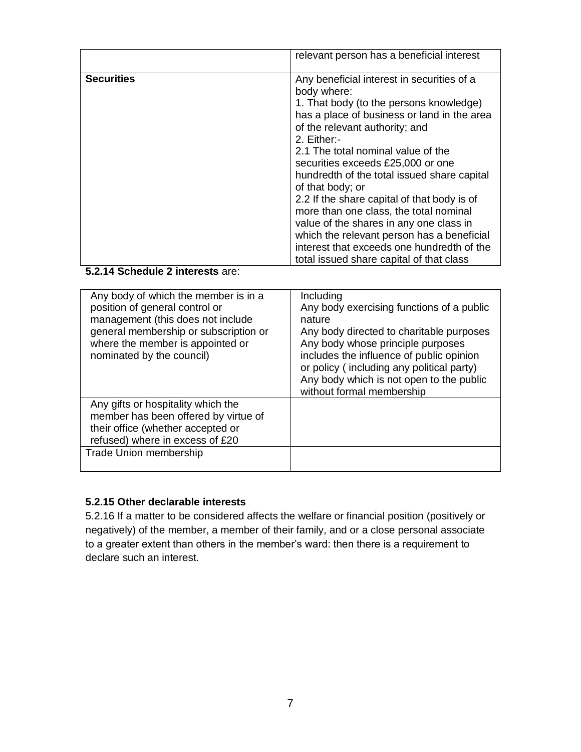|                   | relevant person has a beneficial interest                                                                                                                                                                                                                                                                                                                                                                                                                                                                                                                                                                                      |
|-------------------|--------------------------------------------------------------------------------------------------------------------------------------------------------------------------------------------------------------------------------------------------------------------------------------------------------------------------------------------------------------------------------------------------------------------------------------------------------------------------------------------------------------------------------------------------------------------------------------------------------------------------------|
| <b>Securities</b> | Any beneficial interest in securities of a<br>body where:<br>1. That body (to the persons knowledge)<br>has a place of business or land in the area<br>of the relevant authority; and<br>2. Either:-<br>2.1 The total nominal value of the<br>securities exceeds £25,000 or one<br>hundredth of the total issued share capital<br>of that body; or<br>2.2 If the share capital of that body is of<br>more than one class, the total nominal<br>value of the shares in any one class in<br>which the relevant person has a beneficial<br>interest that exceeds one hundredth of the<br>total issued share capital of that class |

### **5.2.14 Schedule 2 interests** are:

| Any body of which the member is in a<br>position of general control or<br>management (this does not include<br>general membership or subscription or<br>where the member is appointed or<br>nominated by the council) | Including<br>Any body exercising functions of a public<br>nature<br>Any body directed to charitable purposes<br>Any body whose principle purposes<br>includes the influence of public opinion<br>or policy (including any political party)<br>Any body which is not open to the public<br>without formal membership |
|-----------------------------------------------------------------------------------------------------------------------------------------------------------------------------------------------------------------------|---------------------------------------------------------------------------------------------------------------------------------------------------------------------------------------------------------------------------------------------------------------------------------------------------------------------|
| Any gifts or hospitality which the<br>member has been offered by virtue of<br>their office (whether accepted or<br>refused) where in excess of £20<br>Trade Union membership                                          |                                                                                                                                                                                                                                                                                                                     |

### **5.2.15 Other declarable interests**

5.2.16 If a matter to be considered affects the welfare or financial position (positively or negatively) of the member, a member of their family, and or a close personal associate to a greater extent than others in the member's ward: then there is a requirement to declare such an interest.